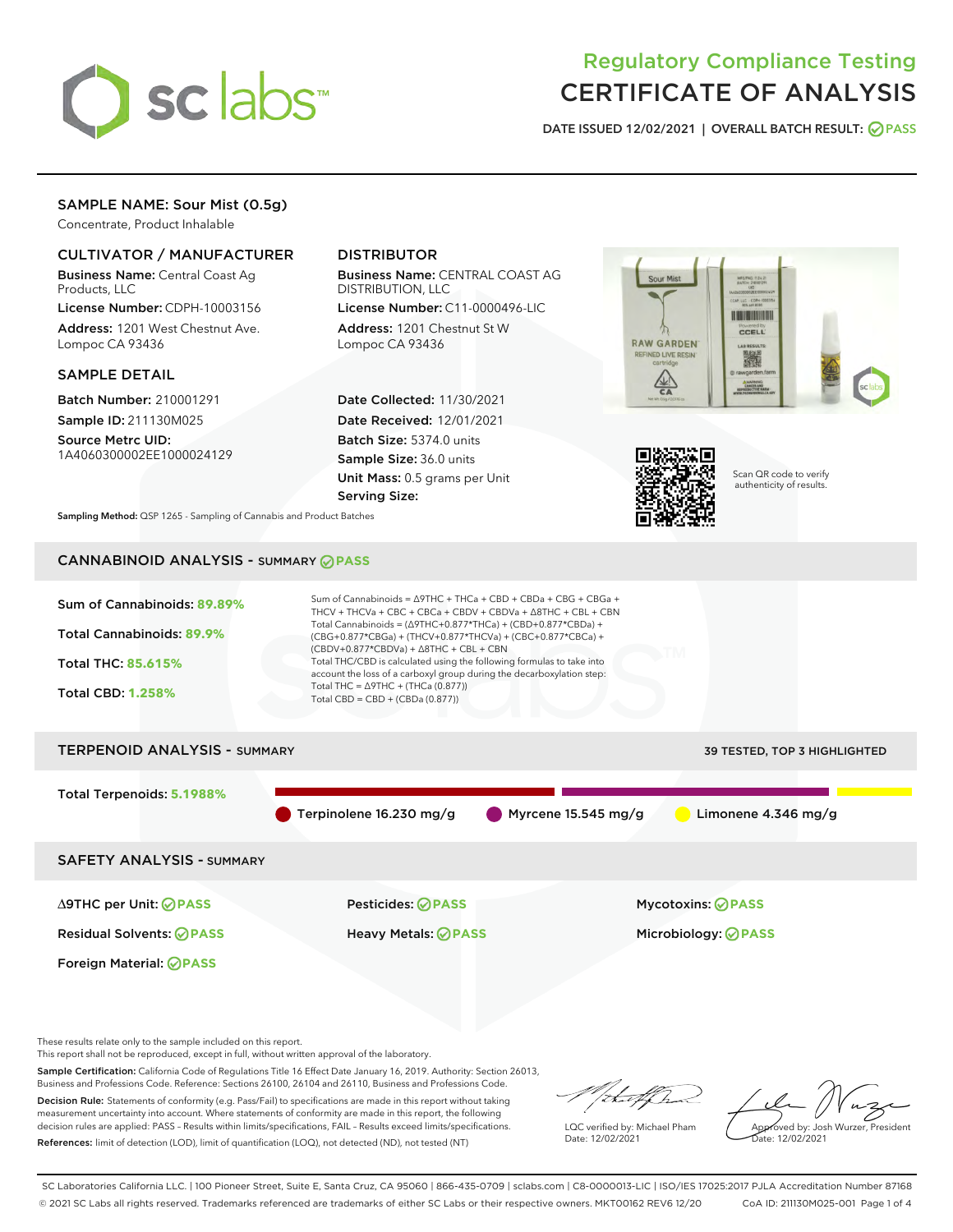

# Regulatory Compliance Testing CERTIFICATE OF ANALYSIS

DATE ISSUED 12/02/2021 | OVERALL BATCH RESULT: @ PASS

# SAMPLE NAME: Sour Mist (0.5g)

Concentrate, Product Inhalable

# CULTIVATOR / MANUFACTURER

Business Name: Central Coast Ag Products, LLC

License Number: CDPH-10003156 Address: 1201 West Chestnut Ave. Lompoc CA 93436

# SAMPLE DETAIL

Batch Number: 210001291 Sample ID: 211130M025

Source Metrc UID: 1A4060300002EE1000024129

# DISTRIBUTOR

Business Name: CENTRAL COAST AG DISTRIBUTION, LLC

License Number: C11-0000496-LIC Address: 1201 Chestnut St W Lompoc CA 93436

Date Collected: 11/30/2021 Date Received: 12/01/2021 Batch Size: 5374.0 units Sample Size: 36.0 units Unit Mass: 0.5 grams per Unit Serving Size:





Scan QR code to verify authenticity of results.

Sampling Method: QSP 1265 - Sampling of Cannabis and Product Batches

# CANNABINOID ANALYSIS - SUMMARY **PASS**



Sample Certification: California Code of Regulations Title 16 Effect Date January 16, 2019. Authority: Section 26013, Business and Professions Code. Reference: Sections 26100, 26104 and 26110, Business and Professions Code. Decision Rule: Statements of conformity (e.g. Pass/Fail) to specifications are made in this report without taking measurement uncertainty into account. Where statements of conformity are made in this report, the following decision rules are applied: PASS – Results within limits/specifications, FAIL – Results exceed limits/specifications.

References: limit of detection (LOD), limit of quantification (LOQ), not detected (ND), not tested (NT)

that f ha LQC verified by: Michael Pham

Date: 12/02/2021

Approved by: Josh Wurzer, President ate: 12/02/2021

SC Laboratories California LLC. | 100 Pioneer Street, Suite E, Santa Cruz, CA 95060 | 866-435-0709 | sclabs.com | C8-0000013-LIC | ISO/IES 17025:2017 PJLA Accreditation Number 87168 © 2021 SC Labs all rights reserved. Trademarks referenced are trademarks of either SC Labs or their respective owners. MKT00162 REV6 12/20 CoA ID: 211130M025-001 Page 1 of 4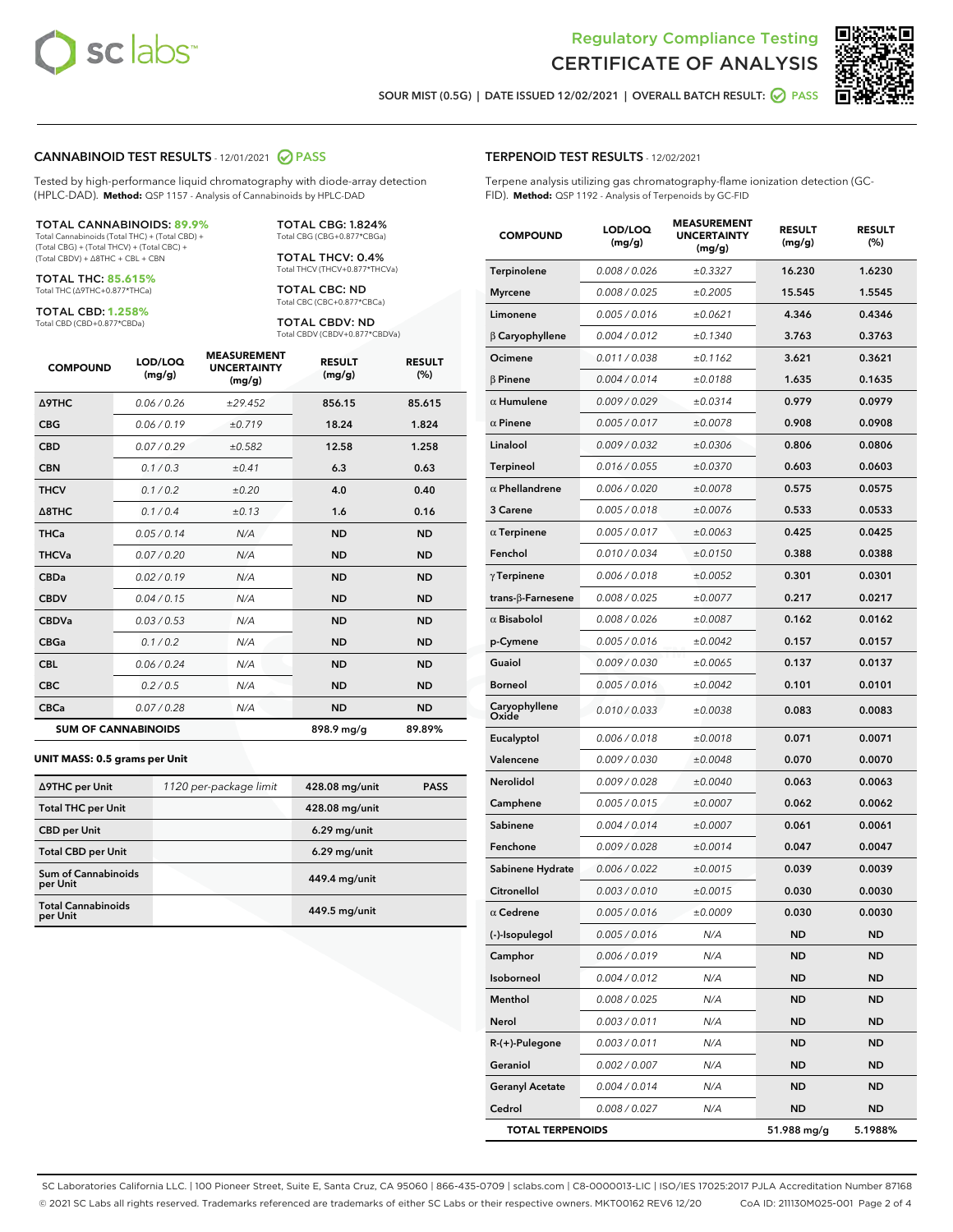



SOUR MIST (0.5G) | DATE ISSUED 12/02/2021 | OVERALL BATCH RESULT:  $\bigcirc$  PASS

#### CANNABINOID TEST RESULTS - 12/01/2021 2 PASS

Tested by high-performance liquid chromatography with diode-array detection (HPLC-DAD). **Method:** QSP 1157 - Analysis of Cannabinoids by HPLC-DAD

#### TOTAL CANNABINOIDS: **89.9%**

Total Cannabinoids (Total THC) + (Total CBD) + (Total CBG) + (Total THCV) + (Total CBC) + (Total CBDV) + ∆8THC + CBL + CBN

TOTAL THC: **85.615%** Total THC (∆9THC+0.877\*THCa)

TOTAL CBD: **1.258%** Total CBD (CBD+0.877\*CBDa)

Total CBG (CBG+0.877\*CBGa) TOTAL THCV: 0.4%

Total THCV (THCV+0.877\*THCVa) TOTAL CBC: ND Total CBC (CBC+0.877\*CBCa)

TOTAL CBG: 1.824%

TOTAL CBDV: ND Total CBDV (CBDV+0.877\*CBDVa)

| <b>COMPOUND</b>            | LOD/LOQ<br>(mg/g) | <b>MEASUREMENT</b><br><b>UNCERTAINTY</b><br>(mg/g) | <b>RESULT</b><br>(mg/g) | <b>RESULT</b><br>(%) |
|----------------------------|-------------------|----------------------------------------------------|-------------------------|----------------------|
| <b>A9THC</b>               | 0.06/0.26         | ±29.452                                            | 856.15                  | 85.615               |
| <b>CBG</b>                 | 0.06/0.19         | ±0.719                                             | 18.24                   | 1.824                |
| <b>CBD</b>                 | 0.07/0.29         | ±0.582                                             | 12.58                   | 1.258                |
| <b>CBN</b>                 | 0.1/0.3           | ±0.41                                              | 6.3                     | 0.63                 |
| <b>THCV</b>                | 0.1/0.2           | ±0.20                                              | 4.0                     | 0.40                 |
| $\triangle$ 8THC           | 0.1 / 0.4         | ±0.13                                              | 1.6                     | 0.16                 |
| <b>THCa</b>                | 0.05/0.14         | N/A                                                | <b>ND</b>               | <b>ND</b>            |
| <b>THCVa</b>               | 0.07/0.20         | N/A                                                | <b>ND</b>               | <b>ND</b>            |
| <b>CBDa</b>                | 0.02/0.19         | N/A                                                | <b>ND</b>               | <b>ND</b>            |
| <b>CBDV</b>                | 0.04 / 0.15       | N/A                                                | <b>ND</b>               | <b>ND</b>            |
| <b>CBDVa</b>               | 0.03/0.53         | N/A                                                | <b>ND</b>               | <b>ND</b>            |
| <b>CBGa</b>                | 0.1/0.2           | N/A                                                | <b>ND</b>               | <b>ND</b>            |
| <b>CBL</b>                 | 0.06 / 0.24       | N/A                                                | <b>ND</b>               | <b>ND</b>            |
| <b>CBC</b>                 | 0.2 / 0.5         | N/A                                                | <b>ND</b>               | <b>ND</b>            |
| <b>CBCa</b>                | 0.07 / 0.28       | N/A                                                | <b>ND</b>               | <b>ND</b>            |
| <b>SUM OF CANNABINOIDS</b> |                   |                                                    | 898.9 mg/g              | 89.89%               |

#### **UNIT MASS: 0.5 grams per Unit**

| ∆9THC per Unit                         | 1120 per-package limit | 428.08 mg/unit | <b>PASS</b> |
|----------------------------------------|------------------------|----------------|-------------|
| <b>Total THC per Unit</b>              |                        | 428.08 mg/unit |             |
| <b>CBD</b> per Unit                    |                        | $6.29$ mg/unit |             |
| <b>Total CBD per Unit</b>              |                        | $6.29$ mg/unit |             |
| <b>Sum of Cannabinoids</b><br>per Unit |                        | 449.4 mg/unit  |             |
| <b>Total Cannabinoids</b><br>per Unit  |                        | 449.5 mg/unit  |             |

#### TERPENOID TEST RESULTS - 12/02/2021

Terpene analysis utilizing gas chromatography-flame ionization detection (GC-FID). **Method:** QSP 1192 - Analysis of Terpenoids by GC-FID

| <b>COMPOUND</b>           | LOD/LOQ<br>(mg/g) | <b>MEASUREMENT</b><br><b>UNCERTAINTY</b><br>(mg/g) | <b>RESULT</b><br>(mg/g) | <b>RESULT</b><br>(%) |
|---------------------------|-------------------|----------------------------------------------------|-------------------------|----------------------|
| Terpinolene               | 0.008 / 0.026     | ±0.3327                                            | 16.230                  | 1.6230               |
| <b>Myrcene</b>            | 0.008 / 0.025     | ±0.2005                                            | 15.545                  | 1.5545               |
| Limonene                  | 0.005 / 0.016     | ±0.0621                                            | 4.346                   | 0.4346               |
| $\beta$ Caryophyllene     | 0.004 / 0.012     | ±0.1340                                            | 3.763                   | 0.3763               |
| Ocimene                   | 0.011 / 0.038     | ±0.1162                                            | 3.621                   | 0.3621               |
| $\beta$ Pinene            | 0.004 / 0.014     | ±0.0188                                            | 1.635                   | 0.1635               |
| $\alpha$ Humulene         | 0.009 / 0.029     | ±0.0314                                            | 0.979                   | 0.0979               |
| $\alpha$ Pinene           | 0.005 / 0.017     | ±0.0078                                            | 0.908                   | 0.0908               |
| Linalool                  | 0.009 / 0.032     | ±0.0306                                            | 0.806                   | 0.0806               |
| <b>Terpineol</b>          | 0.016 / 0.055     | ±0.0370                                            | 0.603                   | 0.0603               |
| $\alpha$ Phellandrene     | 0.006 / 0.020     | ±0.0078                                            | 0.575                   | 0.0575               |
| 3 Carene                  | 0.005 / 0.018     | ±0.0076                                            | 0.533                   | 0.0533               |
| $\alpha$ Terpinene        | 0.005 / 0.017     | ±0.0063                                            | 0.425                   | 0.0425               |
| Fenchol                   | 0.010 / 0.034     | ±0.0150                                            | 0.388                   | 0.0388               |
| $\gamma$ Terpinene        | 0.006 / 0.018     | ±0.0052                                            | 0.301                   | 0.0301               |
| trans- $\beta$ -Farnesene | 0.008 / 0.025     | ±0.0077                                            | 0.217                   | 0.0217               |
| $\alpha$ Bisabolol        | 0.008 / 0.026     | ±0.0087                                            | 0.162                   | 0.0162               |
| p-Cymene                  | 0.005 / 0.016     | ±0.0042                                            | 0.157                   | 0.0157               |
| Guaiol                    | 0.009 / 0.030     | ±0.0065                                            | 0.137                   | 0.0137               |
| <b>Borneol</b>            | 0.005 / 0.016     | ±0.0042                                            | 0.101                   | 0.0101               |
| Caryophyllene<br>Oxide    | 0.010 / 0.033     | ±0.0038                                            | 0.083                   | 0.0083               |
| Eucalyptol                | 0.006 / 0.018     | ±0.0018                                            | 0.071                   | 0.0071               |
| Valencene                 | 0.009 / 0.030     | ±0.0048                                            | 0.070                   | 0.0070               |
| Nerolidol                 | 0.009 / 0.028     | ±0.0040                                            | 0.063                   | 0.0063               |
| Camphene                  | 0.005 / 0.015     | ±0.0007                                            | 0.062                   | 0.0062               |
| Sabinene                  | 0.004 / 0.014     | ±0.0007                                            | 0.061                   | 0.0061               |
| Fenchone                  | 0.009 / 0.028     | ±0.0014                                            | 0.047                   | 0.0047               |
| Sabinene Hydrate          | 0.006 / 0.022     | ±0.0015                                            | 0.039                   | 0.0039               |
| Citronellol               | 0.003 / 0.010     | ±0.0015                                            | 0.030                   | 0.0030               |
| $\alpha$ Cedrene          | 0.005 / 0.016     | ±0.0009                                            | 0.030                   | 0.0030               |
| (-)-Isopulegol            | 0.005 / 0.016     | N/A                                                | ND                      | ND                   |
| Camphor                   | 0.006 / 0.019     | N/A                                                | ND                      | ND                   |
| Isoborneol                | 0.004 / 0.012     | N/A                                                | <b>ND</b>               | ND                   |
| Menthol                   | 0.008 / 0.025     | N/A                                                | ND                      | ND                   |
| Nerol                     | 0.003 / 0.011     | N/A                                                | ND                      | ND                   |
| R-(+)-Pulegone            | 0.003 / 0.011     | N/A                                                | <b>ND</b>               | ND                   |
| Geraniol                  | 0.002 / 0.007     | N/A                                                | <b>ND</b>               | ND                   |
| <b>Geranyl Acetate</b>    | 0.004 / 0.014     | N/A                                                | ND                      | ND                   |
| Cedrol                    | 0.008 / 0.027     | N/A                                                | <b>ND</b>               | ND                   |
| <b>TOTAL TERPENOIDS</b>   |                   |                                                    | 51.988 mg/g             | 5.1988%              |

SC Laboratories California LLC. | 100 Pioneer Street, Suite E, Santa Cruz, CA 95060 | 866-435-0709 | sclabs.com | C8-0000013-LIC | ISO/IES 17025:2017 PJLA Accreditation Number 87168 © 2021 SC Labs all rights reserved. Trademarks referenced are trademarks of either SC Labs or their respective owners. MKT00162 REV6 12/20 CoA ID: 211130M025-001 Page 2 of 4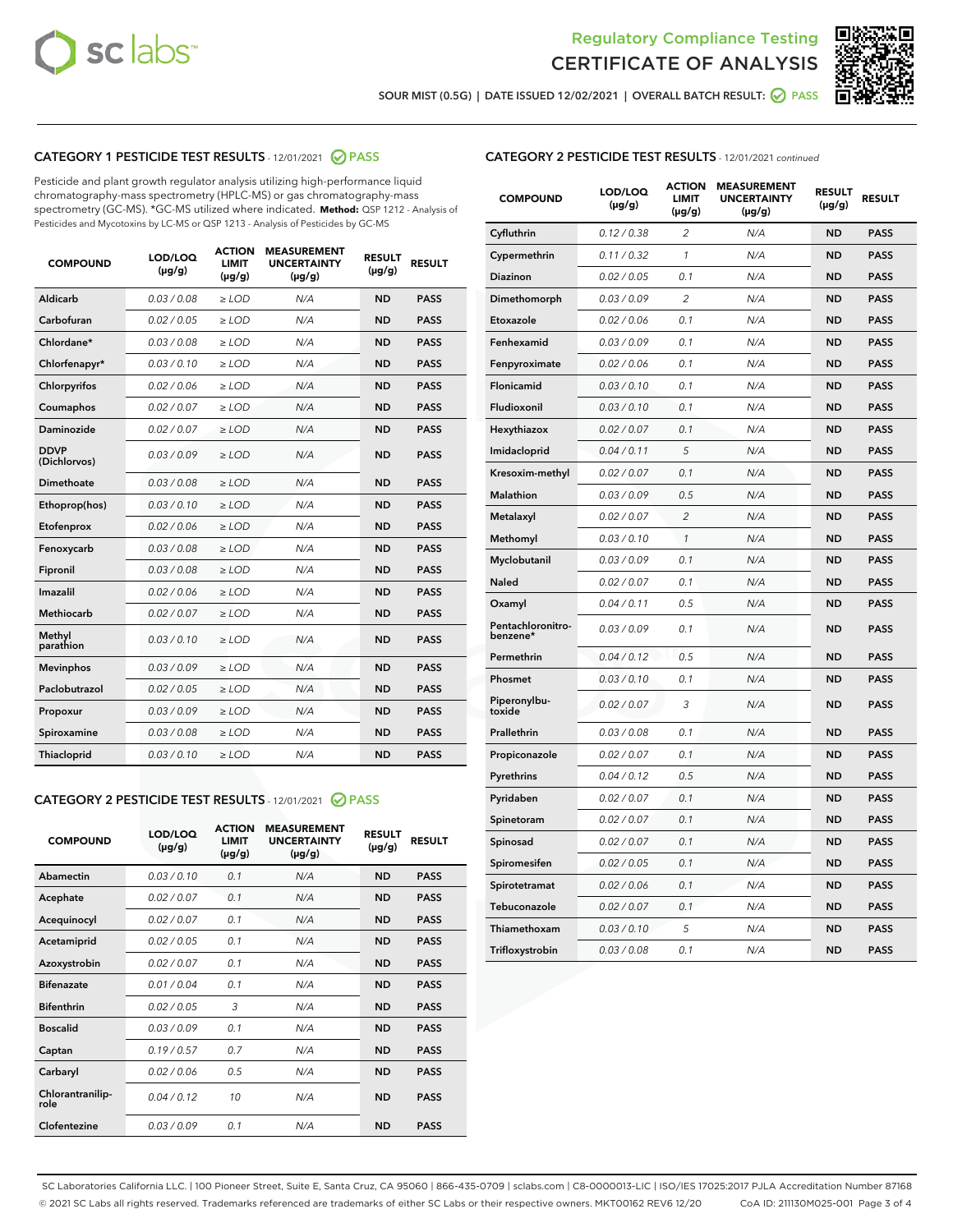



SOUR MIST (0.5G) | DATE ISSUED 12/02/2021 | OVERALL BATCH RESULT: 2 PASS

# CATEGORY 1 PESTICIDE TEST RESULTS - 12/01/2021 2 PASS

Pesticide and plant growth regulator analysis utilizing high-performance liquid chromatography-mass spectrometry (HPLC-MS) or gas chromatography-mass spectrometry (GC-MS). \*GC-MS utilized where indicated. **Method:** QSP 1212 - Analysis of Pesticides and Mycotoxins by LC-MS or QSP 1213 - Analysis of Pesticides by GC-MS

| <b>COMPOUND</b>             | LOD/LOQ<br>$(\mu g/g)$ | <b>ACTION</b><br><b>LIMIT</b><br>$(\mu g/g)$ | <b>MEASUREMENT</b><br><b>UNCERTAINTY</b><br>$(\mu g/g)$ | <b>RESULT</b><br>$(\mu g/g)$ | <b>RESULT</b> |
|-----------------------------|------------------------|----------------------------------------------|---------------------------------------------------------|------------------------------|---------------|
| Aldicarb                    | 0.03 / 0.08            | $\ge$ LOD                                    | N/A                                                     | <b>ND</b>                    | <b>PASS</b>   |
| Carbofuran                  | 0.02/0.05              | $>$ LOD                                      | N/A                                                     | <b>ND</b>                    | <b>PASS</b>   |
| Chlordane*                  | 0.03 / 0.08            | $\ge$ LOD                                    | N/A                                                     | <b>ND</b>                    | <b>PASS</b>   |
| Chlorfenapyr*               | 0.03/0.10              | $\ge$ LOD                                    | N/A                                                     | <b>ND</b>                    | <b>PASS</b>   |
| Chlorpyrifos                | 0.02 / 0.06            | $\ge$ LOD                                    | N/A                                                     | <b>ND</b>                    | <b>PASS</b>   |
| Coumaphos                   | 0.02 / 0.07            | $>$ LOD                                      | N/A                                                     | <b>ND</b>                    | <b>PASS</b>   |
| Daminozide                  | 0.02 / 0.07            | $\ge$ LOD                                    | N/A                                                     | <b>ND</b>                    | <b>PASS</b>   |
| <b>DDVP</b><br>(Dichlorvos) | 0.03/0.09              | $\ge$ LOD                                    | N/A                                                     | <b>ND</b>                    | <b>PASS</b>   |
| <b>Dimethoate</b>           | 0.03 / 0.08            | $\ge$ LOD                                    | N/A                                                     | <b>ND</b>                    | <b>PASS</b>   |
| Ethoprop(hos)               | 0.03/0.10              | $>$ LOD                                      | N/A                                                     | <b>ND</b>                    | <b>PASS</b>   |
| Etofenprox                  | 0.02 / 0.06            | $\ge$ LOD                                    | N/A                                                     | <b>ND</b>                    | <b>PASS</b>   |
| Fenoxycarb                  | 0.03 / 0.08            | $>$ LOD                                      | N/A                                                     | <b>ND</b>                    | <b>PASS</b>   |
| Fipronil                    | 0.03 / 0.08            | $\ge$ LOD                                    | N/A                                                     | <b>ND</b>                    | <b>PASS</b>   |
| Imazalil                    | 0.02 / 0.06            | $\ge$ LOD                                    | N/A                                                     | <b>ND</b>                    | <b>PASS</b>   |
| <b>Methiocarb</b>           | 0.02 / 0.07            | $\ge$ LOD                                    | N/A                                                     | <b>ND</b>                    | <b>PASS</b>   |
| Methyl<br>parathion         | 0.03/0.10              | $>$ LOD                                      | N/A                                                     | <b>ND</b>                    | <b>PASS</b>   |
| <b>Mevinphos</b>            | 0.03/0.09              | $>$ LOD                                      | N/A                                                     | <b>ND</b>                    | <b>PASS</b>   |
| Paclobutrazol               | 0.02 / 0.05            | $\ge$ LOD                                    | N/A                                                     | <b>ND</b>                    | <b>PASS</b>   |
| Propoxur                    | 0.03/0.09              | $\ge$ LOD                                    | N/A                                                     | <b>ND</b>                    | <b>PASS</b>   |
| Spiroxamine                 | 0.03 / 0.08            | $\ge$ LOD                                    | N/A                                                     | <b>ND</b>                    | <b>PASS</b>   |
| <b>Thiacloprid</b>          | 0.03/0.10              | $\ge$ LOD                                    | N/A                                                     | <b>ND</b>                    | <b>PASS</b>   |
|                             |                        |                                              |                                                         |                              |               |

# CATEGORY 2 PESTICIDE TEST RESULTS - 12/01/2021 @ PASS

| <b>COMPOUND</b>          | LOD/LOO<br>$(\mu g/g)$ | <b>ACTION</b><br>LIMIT<br>$(\mu g/g)$ | <b>MEASUREMENT</b><br><b>UNCERTAINTY</b><br>$(\mu g/g)$ | <b>RESULT</b><br>$(\mu g/g)$ | <b>RESULT</b> |  |
|--------------------------|------------------------|---------------------------------------|---------------------------------------------------------|------------------------------|---------------|--|
| Abamectin                | 0.03/0.10              | 0.1                                   | N/A                                                     | <b>ND</b>                    | <b>PASS</b>   |  |
| Acephate                 | 0.02/0.07              | 0.1                                   | N/A                                                     | <b>ND</b>                    | <b>PASS</b>   |  |
| Acequinocyl              | 0.02/0.07              | 0.1                                   | N/A                                                     | <b>ND</b>                    | <b>PASS</b>   |  |
| Acetamiprid              | 0.02/0.05              | 0.1                                   | N/A                                                     | <b>ND</b>                    | <b>PASS</b>   |  |
| Azoxystrobin             | 0.02/0.07              | 0.1                                   | N/A                                                     | <b>ND</b>                    | <b>PASS</b>   |  |
| <b>Bifenazate</b>        | 0.01/0.04              | 0.1                                   | N/A                                                     | <b>ND</b>                    | <b>PASS</b>   |  |
| <b>Bifenthrin</b>        | 0.02/0.05              | 3                                     | N/A                                                     | <b>ND</b>                    | <b>PASS</b>   |  |
| <b>Boscalid</b>          | 0.03/0.09              | 0.1                                   | N/A                                                     | <b>ND</b>                    | <b>PASS</b>   |  |
| Captan                   | 0.19/0.57              | 0.7                                   | N/A                                                     | <b>ND</b>                    | <b>PASS</b>   |  |
| Carbaryl                 | 0.02/0.06              | 0.5                                   | N/A                                                     | <b>ND</b>                    | <b>PASS</b>   |  |
| Chlorantranilip-<br>role | 0.04/0.12              | 10                                    | N/A                                                     | <b>ND</b>                    | <b>PASS</b>   |  |
| Clofentezine             | 0.03/0.09              | 0.1                                   | N/A                                                     | <b>ND</b>                    | <b>PASS</b>   |  |

| <b>COMPOUND</b>               | LOD/LOQ<br>(µg/g) | <b>ACTION</b><br>LIMIT<br>(µg/g) | <b>MEASUREMENT</b><br><b>UNCERTAINTY</b><br>$(\mu g/g)$ | <b>RESULT</b><br>(µg/g) | <b>RESULT</b> |
|-------------------------------|-------------------|----------------------------------|---------------------------------------------------------|-------------------------|---------------|
| Cyfluthrin                    | 0.12 / 0.38       | 2                                | N/A                                                     | <b>ND</b>               | <b>PASS</b>   |
| Cypermethrin                  | 0.11 / 0.32       | $\mathcal{I}$                    | N/A                                                     | <b>ND</b>               | <b>PASS</b>   |
| Diazinon                      | 0.02 / 0.05       | 0.1                              | N/A                                                     | ND                      | <b>PASS</b>   |
| Dimethomorph                  | 0.03 / 0.09       | 2                                | N/A                                                     | <b>ND</b>               | <b>PASS</b>   |
| Etoxazole                     | 0.02 / 0.06       | 0.1                              | N/A                                                     | ND                      | <b>PASS</b>   |
| Fenhexamid                    | 0.03 / 0.09       | 0.1                              | N/A                                                     | <b>ND</b>               | <b>PASS</b>   |
| Fenpyroximate                 | 0.02 / 0.06       | 0.1                              | N/A                                                     | <b>ND</b>               | <b>PASS</b>   |
| Flonicamid                    | 0.03 / 0.10       | 0.1                              | N/A                                                     | <b>ND</b>               | <b>PASS</b>   |
| Fludioxonil                   | 0.03 / 0.10       | 0.1                              | N/A                                                     | <b>ND</b>               | <b>PASS</b>   |
| Hexythiazox                   | 0.02 / 0.07       | 0.1                              | N/A                                                     | <b>ND</b>               | <b>PASS</b>   |
| Imidacloprid                  | 0.04 / 0.11       | 5                                | N/A                                                     | <b>ND</b>               | <b>PASS</b>   |
| Kresoxim-methyl               | 0.02 / 0.07       | 0.1                              | N/A                                                     | <b>ND</b>               | <b>PASS</b>   |
| Malathion                     | 0.03 / 0.09       | 0.5                              | N/A                                                     | <b>ND</b>               | <b>PASS</b>   |
| Metalaxyl                     | 0.02 / 0.07       | $\overline{c}$                   | N/A                                                     | ND                      | <b>PASS</b>   |
| Methomyl                      | 0.03/0.10         | $\mathbf{1}$                     | N/A                                                     | ND                      | <b>PASS</b>   |
| Myclobutanil                  | 0.03/0.09         | 0.1                              | N/A                                                     | <b>ND</b>               | <b>PASS</b>   |
| Naled                         | 0.02 / 0.07       | 0.1                              | N/A                                                     | <b>ND</b>               | <b>PASS</b>   |
| Oxamyl                        | 0.04 / 0.11       | 0.5                              | N/A                                                     | <b>ND</b>               | <b>PASS</b>   |
| Pentachloronitro-<br>benzene* | 0.03/0.09         | 0.1                              | N/A                                                     | <b>ND</b>               | <b>PASS</b>   |
| Permethrin                    | 0.04 / 0.12       | 0.5                              | N/A                                                     | ND                      | <b>PASS</b>   |
| Phosmet                       | 0.03 / 0.10       | 0.1                              | N/A                                                     | <b>ND</b>               | <b>PASS</b>   |
| Piperonylbu-<br>toxide        | 0.02 / 0.07       | 3                                | N/A                                                     | <b>ND</b>               | <b>PASS</b>   |
| Prallethrin                   | 0.03 / 0.08       | 0.1                              | N/A                                                     | <b>ND</b>               | <b>PASS</b>   |
| Propiconazole                 | 0.02 / 0.07       | 0.1                              | N/A                                                     | <b>ND</b>               | <b>PASS</b>   |
| Pyrethrins                    | 0.04 / 0.12       | 0.5                              | N/A                                                     | <b>ND</b>               | <b>PASS</b>   |
| Pyridaben                     | 0.02 / 0.07       | 0.1                              | N/A                                                     | ND                      | <b>PASS</b>   |
| Spinetoram                    | 0.02 / 0.07       | 0.1                              | N/A                                                     | <b>ND</b>               | <b>PASS</b>   |
| Spinosad                      | 0.02 / 0.07       | 0.1                              | N/A                                                     | ND                      | <b>PASS</b>   |
| Spiromesifen                  | 0.02 / 0.05       | 0.1                              | N/A                                                     | <b>ND</b>               | <b>PASS</b>   |
| Spirotetramat                 | 0.02 / 0.06       | 0.1                              | N/A                                                     | <b>ND</b>               | <b>PASS</b>   |
| Tebuconazole                  | 0.02 / 0.07       | 0.1                              | N/A                                                     | <b>ND</b>               | <b>PASS</b>   |
| Thiamethoxam                  | 0.03 / 0.10       | 5                                | N/A                                                     | <b>ND</b>               | <b>PASS</b>   |
| Trifloxystrobin               | 0.03 / 0.08       | 0.1                              | N/A                                                     | ND                      | <b>PASS</b>   |

SC Laboratories California LLC. | 100 Pioneer Street, Suite E, Santa Cruz, CA 95060 | 866-435-0709 | sclabs.com | C8-0000013-LIC | ISO/IES 17025:2017 PJLA Accreditation Number 87168 © 2021 SC Labs all rights reserved. Trademarks referenced are trademarks of either SC Labs or their respective owners. MKT00162 REV6 12/20 CoA ID: 211130M025-001 Page 3 of 4